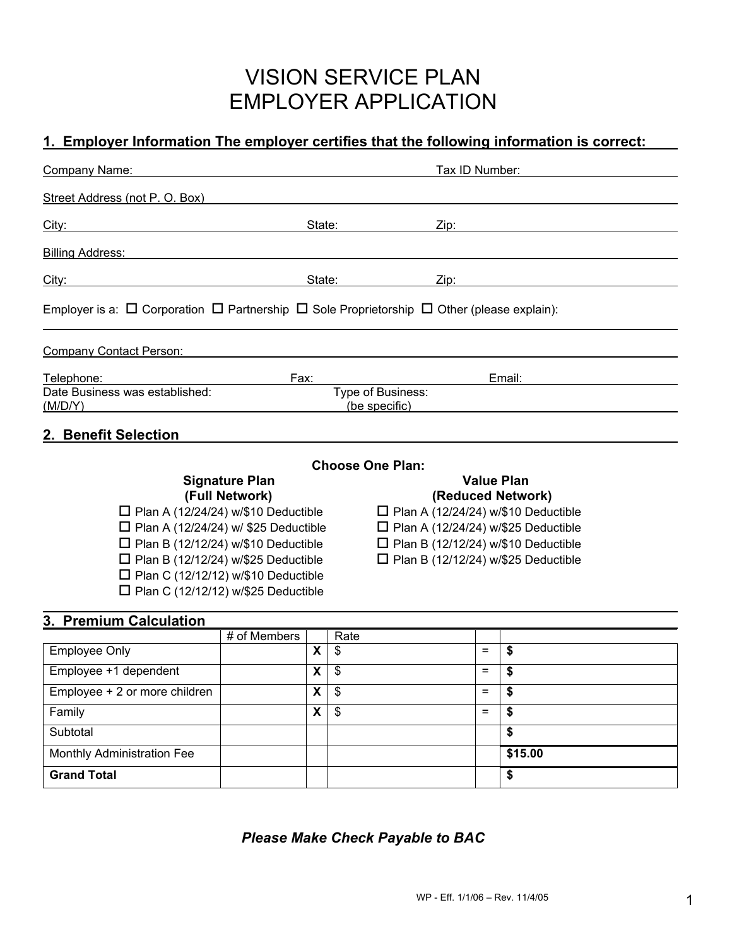# VISION SERVICE PLAN EMPLOYER APPLICATION

## **1. Employer Information The employer certifies that the following information is correct:**

| Company Name:                                                                                                  |                                                                                                                                                                                                                                                                           |                         | Tax ID Number:                             |                   |  |                   |  |
|----------------------------------------------------------------------------------------------------------------|---------------------------------------------------------------------------------------------------------------------------------------------------------------------------------------------------------------------------------------------------------------------------|-------------------------|--------------------------------------------|-------------------|--|-------------------|--|
| Street Address (not P. O. Box)                                                                                 |                                                                                                                                                                                                                                                                           |                         |                                            |                   |  |                   |  |
| City:                                                                                                          | State: and the state of the state of the state of the state of the state of the state of the state of the state of the state of the state of the state of the state of the state of the state of the state of the state of the<br><u> 1980 - Johann Barbara, martin a</u> |                         |                                            | Zip:              |  |                   |  |
| <b>Billing Address:</b>                                                                                        |                                                                                                                                                                                                                                                                           |                         |                                            |                   |  |                   |  |
| City:<br><u> 1980 - Johann Barbara, martxa alemaniar a</u>                                                     |                                                                                                                                                                                                                                                                           |                         | State:                                     | Zip:              |  |                   |  |
| Employer is a: $\Box$ Corporation $\Box$ Partnership $\Box$ Sole Proprietorship $\Box$ Other (please explain): |                                                                                                                                                                                                                                                                           |                         |                                            |                   |  |                   |  |
| <b>Company Contact Person:</b>                                                                                 |                                                                                                                                                                                                                                                                           |                         |                                            |                   |  |                   |  |
| Telephone:                                                                                                     | Fax:                                                                                                                                                                                                                                                                      |                         |                                            | Email:            |  |                   |  |
| Date Business was established:<br>(M/D/Y)                                                                      |                                                                                                                                                                                                                                                                           |                         | Type of Business:<br>(be specific)         |                   |  |                   |  |
| 2. Benefit Selection                                                                                           |                                                                                                                                                                                                                                                                           |                         |                                            |                   |  |                   |  |
|                                                                                                                |                                                                                                                                                                                                                                                                           |                         | <b>Choose One Plan:</b>                    |                   |  |                   |  |
|                                                                                                                | <b>Signature Plan</b>                                                                                                                                                                                                                                                     |                         |                                            |                   |  | <b>Value Plan</b> |  |
| (Full Network)                                                                                                 |                                                                                                                                                                                                                                                                           |                         |                                            | (Reduced Network) |  |                   |  |
| $\Box$ Plan A (12/24/24) w/\$10 Deductible                                                                     |                                                                                                                                                                                                                                                                           |                         | $\Box$ Plan A (12/24/24) w/\$10 Deductible |                   |  |                   |  |
| $\Box$ Plan A (12/24/24) w/ \$25 Deductible                                                                    |                                                                                                                                                                                                                                                                           |                         | $\Box$ Plan A (12/24/24) w/\$25 Deductible |                   |  |                   |  |
| $\Box$ Plan B (12/12/24) w/\$10 Deductible                                                                     |                                                                                                                                                                                                                                                                           |                         | $\Box$ Plan B (12/12/24) w/\$10 Deductible |                   |  |                   |  |
| $\Box$ Plan B (12/12/24) w/\$25 Deductible                                                                     |                                                                                                                                                                                                                                                                           |                         | $\Box$ Plan B (12/12/24) w/\$25 Deductible |                   |  |                   |  |
| $\Box$ Plan C (12/12/12) w/\$10 Deductible                                                                     |                                                                                                                                                                                                                                                                           |                         |                                            |                   |  |                   |  |
| $\Box$ Plan C (12/12/12) w/\$25 Deductible                                                                     |                                                                                                                                                                                                                                                                           |                         |                                            |                   |  |                   |  |
| 3. Premium Calculation                                                                                         |                                                                                                                                                                                                                                                                           |                         |                                            |                   |  |                   |  |
|                                                                                                                | # of Members                                                                                                                                                                                                                                                              |                         | Rate                                       |                   |  |                   |  |
| <b>Employee Only</b>                                                                                           |                                                                                                                                                                                                                                                                           | $\mathsf{X}$            | $\mathfrak{S}$                             | $=$               |  | $\mathbf{\$}$     |  |
| Employee +1 dependent                                                                                          |                                                                                                                                                                                                                                                                           | $\mathsf{X}$            | $\mathfrak{S}$                             | $=$               |  | \$                |  |
| Employee + 2 or more children                                                                                  |                                                                                                                                                                                                                                                                           | $\overline{\mathbf{X}}$ | $\overline{\mathcal{S}}$                   | $=$               |  | \$                |  |
| Family                                                                                                         |                                                                                                                                                                                                                                                                           | $\overline{\mathbf{x}}$ | $\overline{\mathcal{S}}$                   | $=$               |  | \$                |  |
| Subtotal                                                                                                       |                                                                                                                                                                                                                                                                           |                         |                                            |                   |  | \$                |  |
| Monthly Administration Fee                                                                                     |                                                                                                                                                                                                                                                                           |                         |                                            |                   |  | \$15.00           |  |
| <b>Grand Total</b>                                                                                             |                                                                                                                                                                                                                                                                           |                         |                                            |                   |  | \$                |  |

*Please Make Check Payable to BAC*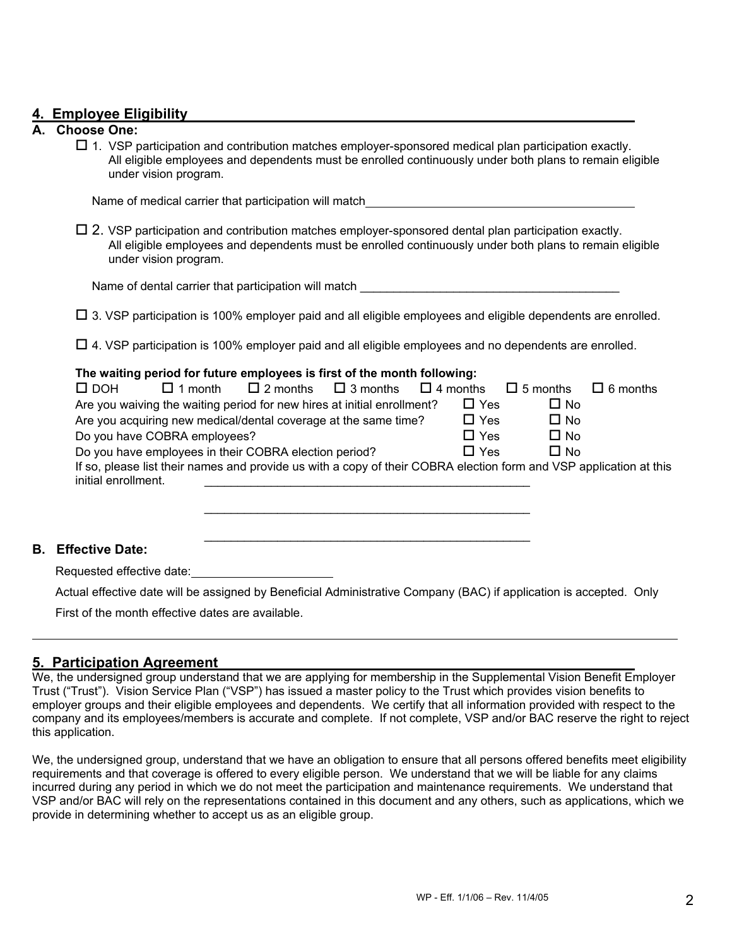## **4. Employee Eligibility**

### **A. Choose One:**

 $\Box$  1. VSP participation and contribution matches employer-sponsored medical plan participation exactly. All eligible employees and dependents must be enrolled continuously under both plans to remain eligible under vision program.

Name of medical carrier that participation will match

 $\Box$  2. VSP participation and contribution matches employer-sponsored dental plan participation exactly. All eligible employees and dependents must be enrolled continuously under both plans to remain eligible under vision program.

Name of dental carrier that participation will match

 $\Box$  3. VSP participation is 100% employer paid and all eligible employees and eligible dependents are enrolled.

 $\Box$  4. VSP participation is 100% employer paid and all eligible employees and no dependents are enrolled.

#### **The waiting period for future employees is first of the month following:**

 $\frac{1}{2}$  ,  $\frac{1}{2}$  ,  $\frac{1}{2}$  ,  $\frac{1}{2}$  ,  $\frac{1}{2}$  ,  $\frac{1}{2}$  ,  $\frac{1}{2}$  ,  $\frac{1}{2}$  ,  $\frac{1}{2}$  ,  $\frac{1}{2}$  ,  $\frac{1}{2}$  ,  $\frac{1}{2}$  ,  $\frac{1}{2}$  ,  $\frac{1}{2}$  ,  $\frac{1}{2}$  ,  $\frac{1}{2}$  ,  $\frac{1}{2}$  ,  $\frac{1}{2}$  ,  $\frac{1$ 

| $\square$ DOH                                                           | $\Box$ 1 month | $\Box$ 2 months                                                                                                    | $\Box$ 3 months | $\Box$ 4 months |            | $\Box$ 5 months | $\Box$ 6 months |
|-------------------------------------------------------------------------|----------------|--------------------------------------------------------------------------------------------------------------------|-----------------|-----------------|------------|-----------------|-----------------|
| Are you waiving the waiting period for new hires at initial enrollment? |                |                                                                                                                    |                 |                 | $\Box$ Yes | $\Box$ No       |                 |
| Are you acquiring new medical/dental coverage at the same time?         |                |                                                                                                                    |                 |                 | $\Box$ Yes | $\Box$ No       |                 |
| Do you have COBRA employees?                                            |                |                                                                                                                    |                 |                 | $\Box$ Yes | $\Box$ No       |                 |
| Do you have employees in their COBRA election period?                   |                |                                                                                                                    |                 |                 | $\Box$ Yes | $\Box$ No       |                 |
| initial enrollment.                                                     |                | If so, please list their names and provide us with a copy of their COBRA election form and VSP application at this |                 |                 |            |                 |                 |
|                                                                         |                |                                                                                                                    |                 |                 |            |                 |                 |
|                                                                         |                |                                                                                                                    |                 |                 |            |                 |                 |

#### **B. Effective Date:**

 $\overline{a}$ 

Requested effective date:

Actual effective date will be assigned by Beneficial Administrative Company (BAC) if application is accepted. Only

First of the month effective dates are available.

## **5. Participation Agreement**

We, the undersigned group understand that we are applying for membership in the Supplemental Vision Benefit Employer Trust ("Trust"). Vision Service Plan ("VSP") has issued a master policy to the Trust which provides vision benefits to employer groups and their eligible employees and dependents. We certify that all information provided with respect to the company and its employees/members is accurate and complete. If not complete, VSP and/or BAC reserve the right to reject this application.

We, the undersigned group, understand that we have an obligation to ensure that all persons offered benefits meet eligibility requirements and that coverage is offered to every eligible person. We understand that we will be liable for any claims incurred during any period in which we do not meet the participation and maintenance requirements. We understand that VSP and/or BAC will rely on the representations contained in this document and any others, such as applications, which we provide in determining whether to accept us as an eligible group.